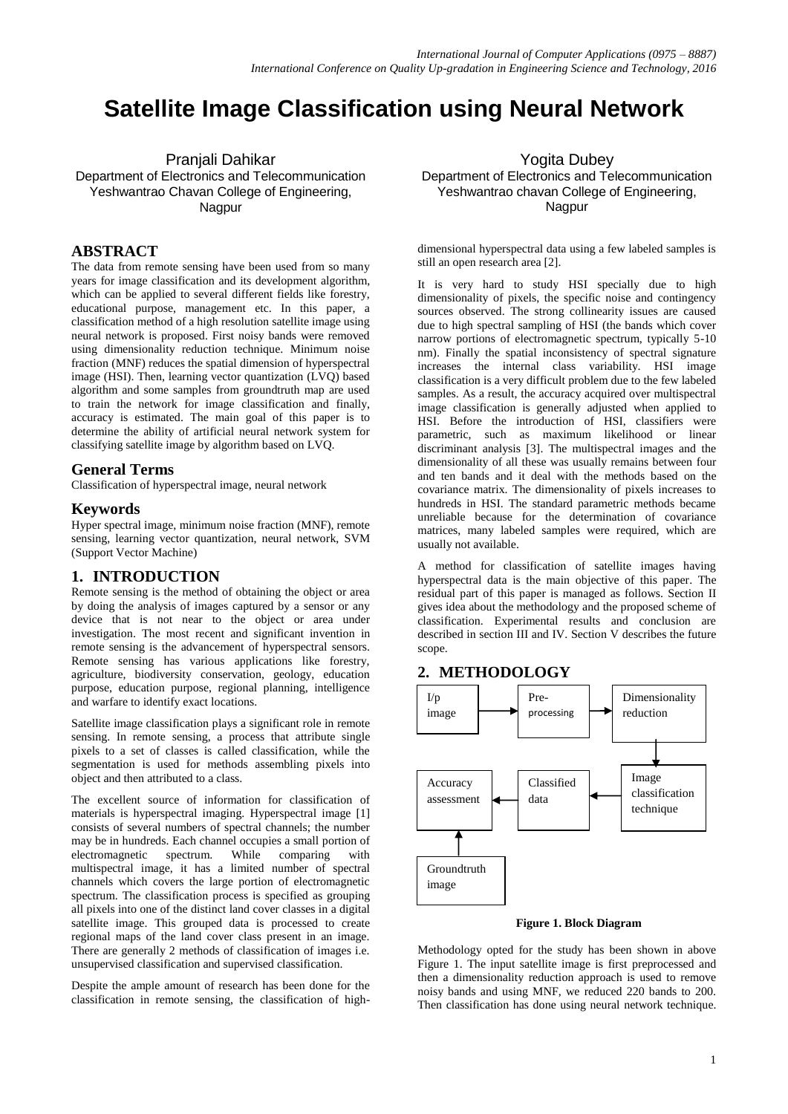# **Satellite Image Classification using Neural Network**

Pranjali Dahikar Department of Electronics and Telecommunication Yeshwantrao Chavan College of Engineering, **Nagpur** 

### **ABSTRACT**

The data from remote sensing have been used from so many years for image classification and its development algorithm, which can be applied to several different fields like forestry, educational purpose, management etc. In this paper, a classification method of a high resolution satellite image using neural network is proposed. First noisy bands were removed using dimensionality reduction technique. Minimum noise fraction (MNF) reduces the spatial dimension of hyperspectral image (HSI). Then, learning vector quantization (LVQ) based algorithm and some samples from groundtruth map are used to train the network for image classification and finally, accuracy is estimated. The main goal of this paper is to determine the ability of artificial neural network system for classifying satellite image by algorithm based on LVQ.

# **General Terms**

Classification of hyperspectral image, neural network

#### **Keywords**

Hyper spectral image, minimum noise fraction (MNF), remote sensing, learning vector quantization, neural network, SVM (Support Vector Machine)

# **1. INTRODUCTION**

Remote sensing is the method of obtaining the object or area by doing the analysis of images captured by a sensor or any device that is not near to the object or area under investigation. The most recent and significant invention in remote sensing is the advancement of hyperspectral sensors. Remote sensing has various applications like forestry, agriculture, biodiversity conservation, geology, education purpose, education purpose, regional planning, intelligence and warfare to identify exact locations.

Satellite image classification plays a significant role in remote sensing. In remote sensing, a process that attribute single pixels to a set of classes is called classification, while the segmentation is used for methods assembling pixels into object and then attributed to a class.

The excellent source of information for classification of materials is hyperspectral imaging. Hyperspectral image [1] consists of several numbers of spectral channels; the number may be in hundreds. Each channel occupies a small portion of electromagnetic spectrum. While comparing with electromagnetic spectrum. While comparing with multispectral image, it has a limited number of spectral channels which covers the large portion of electromagnetic spectrum. The classification process is specified as grouping all pixels into one of the distinct land cover classes in a digital satellite image. This grouped data is processed to create regional maps of the land cover class present in an image. There are generally 2 methods of classification of images i.e. unsupervised classification and supervised classification.

Despite the ample amount of research has been done for the classification in remote sensing, the classification of high-

Yogita Dubey Department of Electronics and Telecommunication Yeshwantrao chavan College of Engineering, Nagpur

dimensional hyperspectral data using a few labeled samples is still an open research area [2].

It is very hard to study HSI specially due to high dimensionality of pixels, the specific noise and contingency sources observed. The strong collinearity issues are caused due to high spectral sampling of HSI (the bands which cover narrow portions of electromagnetic spectrum, typically 5-10 nm). Finally the spatial inconsistency of spectral signature increases the internal class variability. HSI image classification is a very difficult problem due to the few labeled samples. As a result, the accuracy acquired over multispectral image classification is generally adjusted when applied to HSI. Before the introduction of HSI, classifiers were parametric, such as maximum likelihood or linear discriminant analysis [3]. The multispectral images and the dimensionality of all these was usually remains between four and ten bands and it deal with the methods based on the covariance matrix. The dimensionality of pixels increases to hundreds in HSI. The standard parametric methods became unreliable because for the determination of covariance matrices, many labeled samples were required, which are usually not available.

A method for classification of satellite images having hyperspectral data is the main objective of this paper. The residual part of this paper is managed as follows. Section II gives idea about the methodology and the proposed scheme of classification. Experimental results and conclusion are described in section III and IV. Section V describes the future scope.

#### **2. METHODOLOGY**



**Figure 1. Block Diagram**

Methodology opted for the study has been shown in above Figure 1. The input satellite image is first preprocessed and then a dimensionality reduction approach is used to remove noisy bands and using MNF, we reduced 220 bands to 200. Then classification has done using neural network technique.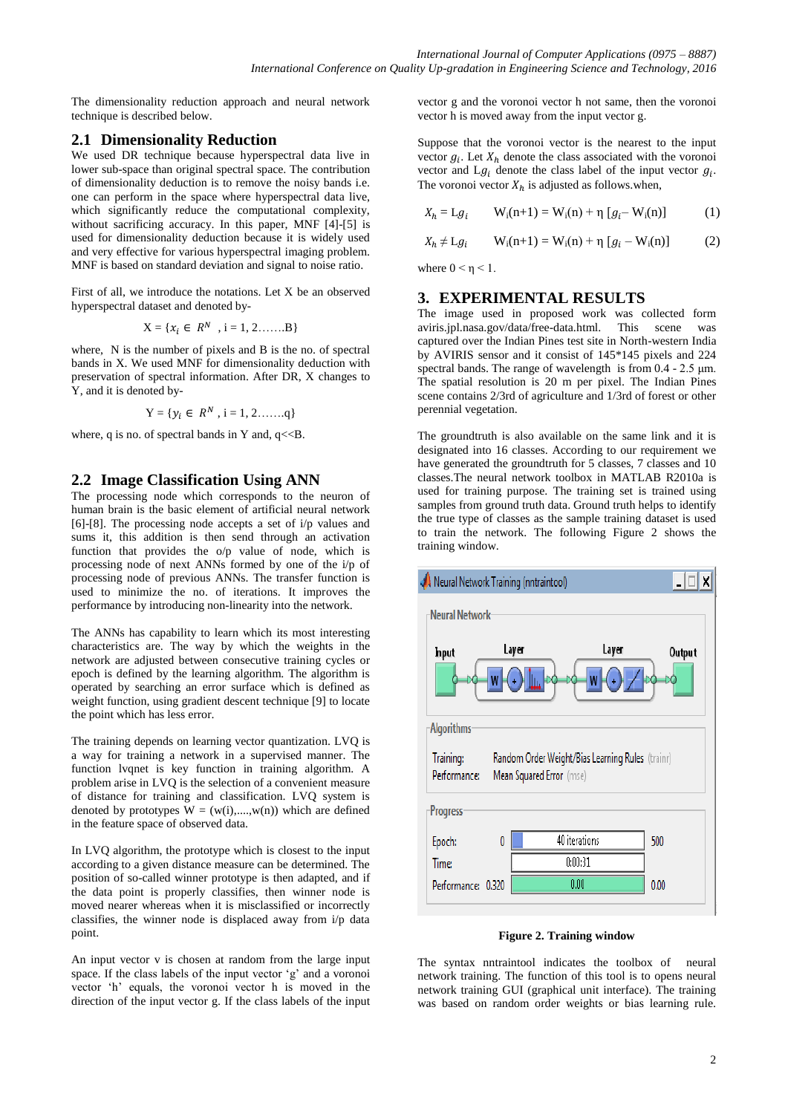The dimensionality reduction approach and neural network technique is described below.

# **2.1 Dimensionality Reduction**

We used DR technique because hyperspectral data live in lower sub-space than original spectral space. The contribution of dimensionality deduction is to remove the noisy bands i.e. one can perform in the space where hyperspectral data live, which significantly reduce the computational complexity, without sacrificing accuracy. In this paper, MNF [4]-[5] is used for dimensionality deduction because it is widely used and very effective for various hyperspectral imaging problem. MNF is based on standard deviation and signal to noise ratio.

First of all, we introduce the notations. Let X be an observed hyperspectral dataset and denoted by-

$$
X = \{x_i \in R^N, i = 1, 2, \dots, B\}
$$

where, N is the number of pixels and B is the no. of spectral bands in X. We used MNF for dimensionality deduction with preservation of spectral information. After DR, X changes to Y, and it is denoted by-

$$
Y = \{y_i \in R^N, i = 1, 2, \dots, q\}
$$

where, q is no. of spectral bands in Y and,  $q \ll B$ .

# **2.2 Image Classification Using ANN**

The processing node which corresponds to the neuron of human brain is the basic element of artificial neural network [6]-[8]. The processing node accepts a set of i/p values and sums it, this addition is then send through an activation function that provides the o/p value of node, which is processing node of next ANNs formed by one of the i/p of processing node of previous ANNs. The transfer function is used to minimize the no. of iterations. It improves the performance by introducing non-linearity into the network.

The ANNs has capability to learn which its most interesting characteristics are. The way by which the weights in the network are adjusted between consecutive training cycles or epoch is defined by the learning algorithm. The algorithm is operated by searching an error surface which is defined as weight function, using gradient descent technique [9] to locate the point which has less error.

The training depends on learning vector quantization. LVQ is a way for training a network in a supervised manner. The function lvqnet is key function in training algorithm. A problem arise in LVQ is the selection of a convenient measure of distance for training and classification. LVQ system is denoted by prototypes  $W = (w(i),...,w(n))$  which are defined in the feature space of observed data.

In LVQ algorithm, the prototype which is closest to the input according to a given distance measure can be determined. The position of so-called winner prototype is then adapted, and if the data point is properly classifies, then winner node is moved nearer whereas when it is misclassified or incorrectly classifies, the winner node is displaced away from i/p data point.

An input vector v is chosen at random from the large input space. If the class labels of the input vector 'g' and a voronoi vector 'h' equals, the voronoi vector h is moved in the direction of the input vector g. If the class labels of the input vector g and the voronoi vector h not same, then the voronoi vector h is moved away from the input vector g.

Suppose that the voronoi vector is the nearest to the input vector  $g_i$ . Let  $X_h$  denote the class associated with the voronoi vector and  $Lg_i$  denote the class label of the input vector  $g_i$ . The voronoi vector  $X_h$  is adjusted as follows.when,

$$
X_h = Lg_i
$$
  $W_i(n+1) = W_i(n) + \eta [g_i - W_i(n)]$  (1)

$$
X_h \neq Lg_i
$$
  $W_i(n+1) = W_i(n) + \eta [g_i - W_i(n)]$  (2)

where  $0 \leq \eta \leq 1$ .

#### **3. EXPERIMENTAL RESULTS**

The image used in proposed work was collected form aviris.jpl.nasa.gov/data/free-data.html. This scene was captured over the Indian Pines test site in North-western India by AVIRIS sensor and it consist of 145\*145 pixels and 224 spectral bands. The range of wavelength is from 0.4 - 2.5 μm. The spatial resolution is 20 m per pixel. The Indian Pines scene contains 2/3rd of agriculture and 1/3rd of forest or other perennial vegetation.

The groundtruth is also available on the same link and it is designated into 16 classes. According to our requirement we have generated the groundtruth for 5 classes, 7 classes and 10 classes.The neural network toolbox in MATLAB R2010a is used for training purpose. The training set is trained using samples from ground truth data. Ground truth helps to identify the true type of classes as the sample training dataset is used to train the network. The following Figure 2 shows the training window.



**Figure 2. Training window**

The syntax nntraintool indicates the toolbox of neural network training. The function of this tool is to opens neural network training GUI (graphical unit interface). The training was based on random order weights or bias learning rule.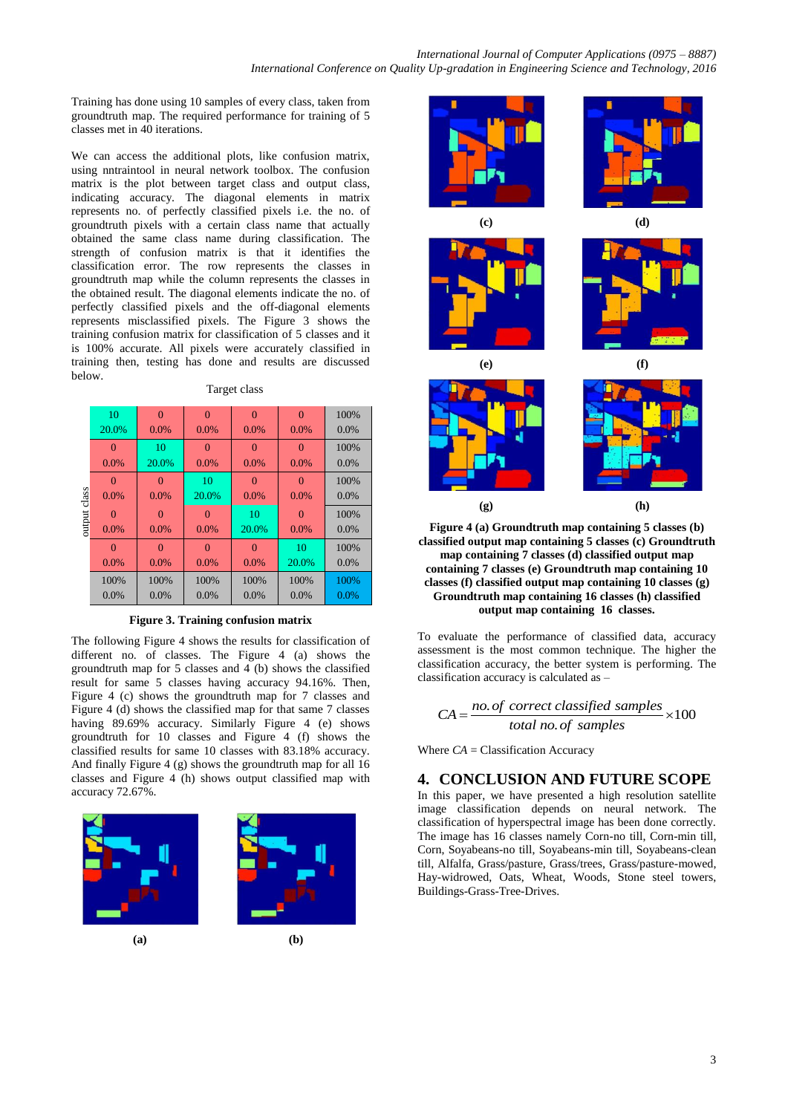Training has done using 10 samples of every class, taken from groundtruth map. The required performance for training of 5 classes met in 40 iterations.

We can access the additional plots, like confusion matrix, using nntraintool in neural network toolbox. The confusion matrix is the plot between target class and output class, indicating accuracy. The diagonal elements in matrix represents no. of perfectly classified pixels i.e. the no. of groundtruth pixels with a certain class name that actually obtained the same class name during classification. The strength of confusion matrix is that it identifies the classification error. The row represents the classes in groundtruth map while the column represents the classes in the obtained result. The diagonal elements indicate the no. of perfectly classified pixels and the off-diagonal elements represents misclassified pixels. The Figure 3 shows the training confusion matrix for classification of 5 classes and it is 100% accurate. All pixels were accurately classified in training then, testing has done and results are discussed below.

#### Target class

|        | 10       | 0        | 0        | 0        | 0        | 100% |
|--------|----------|----------|----------|----------|----------|------|
|        | 20.0%    | 0.0%     | 0.0%     | 0.0%     | 0.0%     | 0.0% |
|        | $\Omega$ | 10       | $\Omega$ | 0        | $\Omega$ | 100% |
|        | 0.0%     | 20.0%    | 0.0%     | 0.0%     | 0.0%     | 0.0% |
|        | 0        | 0        | 10       | $\Omega$ | $\Omega$ | 100% |
| class  | 0.0%     | 0.0%     | 20.0%    | 0.0%     | 0.0%     | 0.0% |
|        |          |          |          |          |          |      |
|        | $\Omega$ | $\Omega$ | $\Omega$ | 10       | $\Omega$ | 100% |
| output | $0.0\%$  | 0.0%     | 0.0%     | 20.0%    | 0.0%     | 0.0% |
|        | 0        | 0        | 0        | 0        | 10       | 100% |
|        | $0.0\%$  | 0.0%     | 0.0%     | 0.0%     | 20.0%    | 0.0% |
|        | 100%     | 100%     | 100%     | 100%     | 100%     | 100% |

**Figure 3. Training confusion matrix**

The following Figure 4 shows the results for classification of different no. of classes. The Figure 4 (a) shows the groundtruth map for 5 classes and 4 (b) shows the classified result for same 5 classes having accuracy 94.16%. Then, Figure 4 (c) shows the groundtruth map for 7 classes and Figure 4 (d) shows the classified map for that same 7 classes having 89.69% accuracy. Similarly Figure 4 (e) shows groundtruth for 10 classes and Figure 4 (f) shows the classified results for same 10 classes with 83.18% accuracy. And finally Figure 4 (g) shows the groundtruth map for all 16 classes and Figure 4 (h) shows output classified map with accuracy 72.67%.





**(g) (h)**

**Figure 4 (a) Groundtruth map containing 5 classes (b) classified output map containing 5 classes (c) Groundtruth map containing 7 classes (d) classified output map containing 7 classes (e) Groundtruth map containing 10 classes (f) classified output map containing 10 classes (g) Groundtruth map containing 16 classes (h) classified output map containing 16 classes.**

To evaluate the performance of classified data, accuracy assessment is the most common technique. The higher the classification accuracy, the better system is performing. The

classification accuracy is calculated as –  
\n
$$
CA = \frac{no. of correct classified samples}{total no. of samples} \times 100
$$

Where *CA* = Classification Accuracy

#### **4. CONCLUSION AND FUTURE SCOPE**

In this paper, we have presented a high resolution satellite image classification depends on neural network. The classification of hyperspectral image has been done correctly. The image has 16 classes namely Corn-no till, Corn-min till, Corn, Soyabeans-no till, Soyabeans-min till, Soyabeans-clean till, Alfalfa, Grass/pasture, Grass/trees, Grass/pasture-mowed, Hay-widrowed, Oats, Wheat, Woods, Stone steel towers, Buildings-Grass-Tree-Drives.